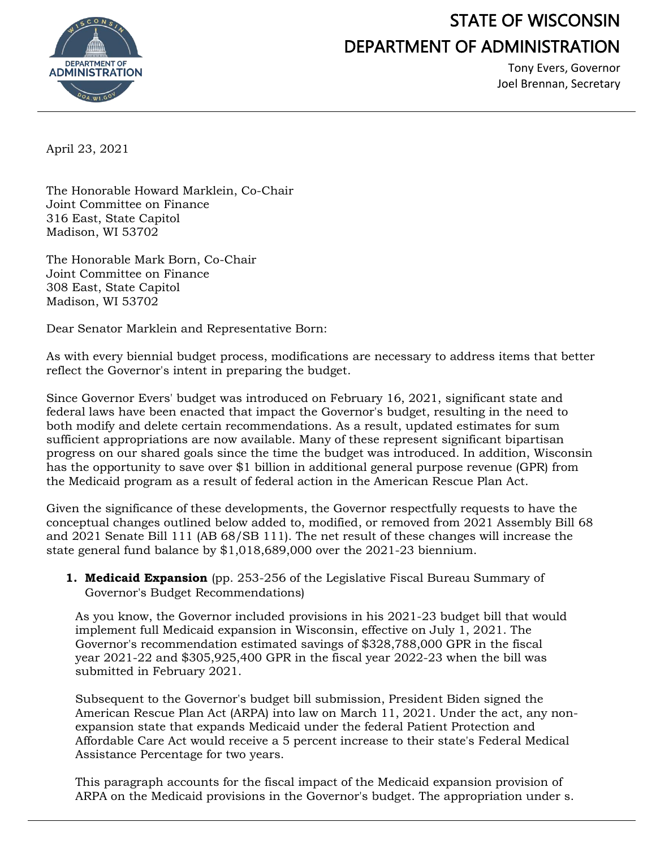

## STATE OF WISCONSIN DEPARTMENT OF ADMINISTRATION

Tony Evers, Governor Joel Brennan, Secretary

April 23, 2021

The Honorable Howard Marklein, Co-Chair Joint Committee on Finance 316 East, State Capitol Madison, WI 53702

The Honorable Mark Born, Co-Chair Joint Committee on Finance 308 East, State Capitol Madison, WI 53702

Dear Senator Marklein and Representative Born:

As with every biennial budget process, modifications are necessary to address items that better reflect the Governor's intent in preparing the budget.

Since Governor Evers' budget was introduced on February 16, 2021, significant state and federal laws have been enacted that impact the Governor's budget, resulting in the need to both modify and delete certain recommendations. As a result, updated estimates for sum sufficient appropriations are now available. Many of these represent significant bipartisan progress on our shared goals since the time the budget was introduced. In addition, Wisconsin has the opportunity to save over \$1 billion in additional general purpose revenue (GPR) from the Medicaid program as a result of federal action in the American Rescue Plan Act.

Given the significance of these developments, the Governor respectfully requests to have the conceptual changes outlined below added to, modified, or removed from 2021 Assembly Bill 68 and 2021 Senate Bill 111 (AB 68/SB 111). The net result of these changes will increase the state general fund balance by \$1,018,689,000 over the 2021-23 biennium.

**1. Medicaid Expansion** (pp. 253-256 of the Legislative Fiscal Bureau Summary of Governor's Budget Recommendations)

As you know, the Governor included provisions in his 2021-23 budget bill that would implement full Medicaid expansion in Wisconsin, effective on July 1, 2021. The Governor's recommendation estimated savings of \$328,788,000 GPR in the fiscal year 2021-22 and \$305,925,400 GPR in the fiscal year 2022-23 when the bill was submitted in February 2021.

Subsequent to the Governor's budget bill submission, President Biden signed the American Rescue Plan Act (ARPA) into law on March 11, 2021. Under the act, any nonexpansion state that expands Medicaid under the federal Patient Protection and Affordable Care Act would receive a 5 percent increase to their state's Federal Medical Assistance Percentage for two years.

This paragraph accounts for the fiscal impact of the Medicaid expansion provision of ARPA on the Medicaid provisions in the Governor's budget. The appropriation under s.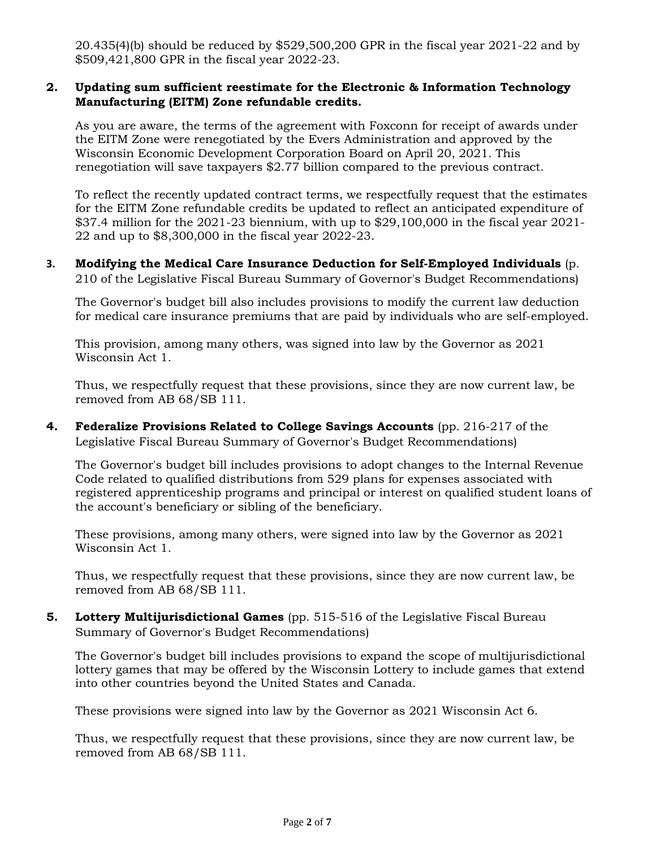20.435(4)(b) should be reduced by \$529,500,200 GPR in the fiscal year 2021-22 and by \$509,421,800 GPR in the fiscal year 2022-23.

## **2. Updating sum sufficient reestimate for the Electronic & Information Technology Manufacturing (EITM) Zone refundable credits.**

As you are aware, the terms of the agreement with Foxconn for receipt of awards under the EITM Zone were renegotiated by the Evers Administration and approved by the Wisconsin Economic Development Corporation Board on April 20, 2021. This renegotiation will save taxpayers \$2.77 billion compared to the previous contract.

To reflect the recently updated contract terms, we respectfully request that the estimates for the EITM Zone refundable credits be updated to reflect an anticipated expenditure of \$37.4 million for the 2021-23 biennium, with up to \$29,100,000 in the fiscal year 2021- 22 and up to \$8,300,000 in the fiscal year 2022-23.

## **3. Modifying the Medical Care Insurance Deduction for Self-Employed Individuals** (p. 210 of the Legislative Fiscal Bureau Summary of Governor's Budget Recommendations)

The Governor's budget bill also includes provisions to modify the current law deduction for medical care insurance premiums that are paid by individuals who are self-employed.

This provision, among many others, was signed into law by the Governor as 2021 Wisconsin Act 1.

Thus, we respectfully request that these provisions, since they are now current law, be removed from AB 68/SB 111.

**4. Federalize Provisions Related to College Savings Accounts** (pp. 216-217 of the Legislative Fiscal Bureau Summary of Governor's Budget Recommendations)

The Governor's budget bill includes provisions to adopt changes to the Internal Revenue Code related to qualified distributions from 529 plans for expenses associated with registered apprenticeship programs and principal or interest on qualified student loans of the account's beneficiary or sibling of the beneficiary.

These provisions, among many others, were signed into law by the Governor as 2021 Wisconsin Act 1.

Thus, we respectfully request that these provisions, since they are now current law, be removed from AB 68/SB 111.

**5. Lottery Multijurisdictional Games** (pp. 515-516 of the Legislative Fiscal Bureau Summary of Governor's Budget Recommendations)

The Governor's budget bill includes provisions to expand the scope of multijurisdictional lottery games that may be offered by the Wisconsin Lottery to include games that extend into other countries beyond the United States and Canada.

These provisions were signed into law by the Governor as 2021 Wisconsin Act 6.

Thus, we respectfully request that these provisions, since they are now current law, be removed from AB 68/SB 111.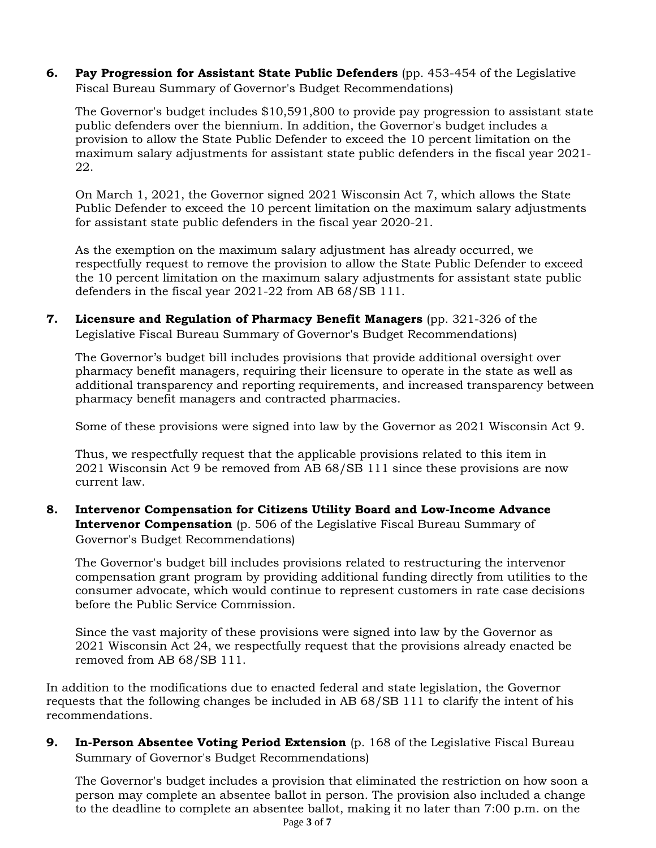**6. Pay Progression for Assistant State Public Defenders** (pp. 453-454 of the Legislative Fiscal Bureau Summary of Governor's Budget Recommendations)

The Governor's budget includes \$10,591,800 to provide pay progression to assistant state public defenders over the biennium. In addition, the Governor's budget includes a provision to allow the State Public Defender to exceed the 10 percent limitation on the maximum salary adjustments for assistant state public defenders in the fiscal year 2021- 22.

On March 1, 2021, the Governor signed 2021 Wisconsin Act 7, which allows the State Public Defender to exceed the 10 percent limitation on the maximum salary adjustments for assistant state public defenders in the fiscal year 2020-21.

As the exemption on the maximum salary adjustment has already occurred, we respectfully request to remove the provision to allow the State Public Defender to exceed the 10 percent limitation on the maximum salary adjustments for assistant state public defenders in the fiscal year 2021-22 from AB 68/SB 111.

**7. Licensure and Regulation of Pharmacy Benefit Managers** (pp. 321-326 of the Legislative Fiscal Bureau Summary of Governor's Budget Recommendations)

The Governor's budget bill includes provisions that provide additional oversight over pharmacy benefit managers, requiring their licensure to operate in the state as well as additional transparency and reporting requirements, and increased transparency between pharmacy benefit managers and contracted pharmacies.

Some of these provisions were signed into law by the Governor as 2021 Wisconsin Act 9.

Thus, we respectfully request that the applicable provisions related to this item in 2021 Wisconsin Act 9 be removed from AB 68/SB 111 since these provisions are now current law.

**8. Intervenor Compensation for Citizens Utility Board and Low-Income Advance Intervenor Compensation** (p. 506 of the Legislative Fiscal Bureau Summary of Governor's Budget Recommendations)

The Governor's budget bill includes provisions related to restructuring the intervenor compensation grant program by providing additional funding directly from utilities to the consumer advocate, which would continue to represent customers in rate case decisions before the Public Service Commission.

Since the vast majority of these provisions were signed into law by the Governor as 2021 Wisconsin Act 24, we respectfully request that the provisions already enacted be removed from AB 68/SB 111.

In addition to the modifications due to enacted federal and state legislation, the Governor requests that the following changes be included in AB 68/SB 111 to clarify the intent of his recommendations.

**9.** In-Person Absentee Voting Period Extension (p. 168 of the Legislative Fiscal Bureau Summary of Governor's Budget Recommendations)

The Governor's budget includes a provision that eliminated the restriction on how soon a person may complete an absentee ballot in person. The provision also included a change to the deadline to complete an absentee ballot, making it no later than 7:00 p.m. on the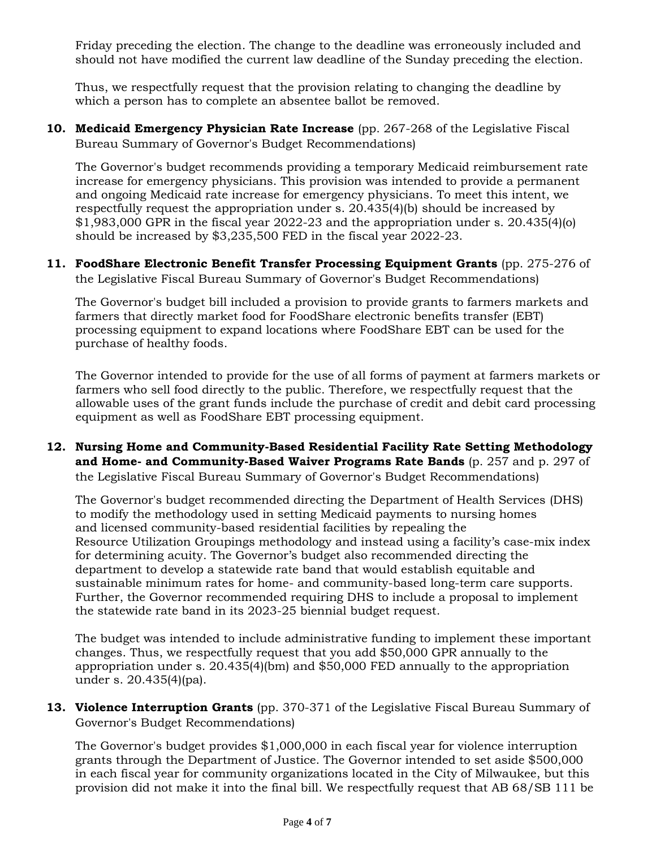Friday preceding the election. The change to the deadline was erroneously included and should not have modified the current law deadline of the Sunday preceding the election.

Thus, we respectfully request that the provision relating to changing the deadline by which a person has to complete an absentee ballot be removed.

**10. Medicaid Emergency Physician Rate Increase** (pp. 267-268 of the Legislative Fiscal Bureau Summary of Governor's Budget Recommendations)

The Governor's budget recommends providing a temporary Medicaid reimbursement rate increase for emergency physicians. This provision was intended to provide a permanent and ongoing Medicaid rate increase for emergency physicians. To meet this intent, we respectfully request the appropriation under s. 20.435(4)(b) should be increased by  $$1,983,000$  GPR in the fiscal year 2022-23 and the appropriation under s. 20.435(4)(o) should be increased by \$3,235,500 FED in the fiscal year 2022-23.

**11. FoodShare Electronic Benefit Transfer Processing Equipment Grants** (pp. 275-276 of the Legislative Fiscal Bureau Summary of Governor's Budget Recommendations)

The Governor's budget bill included a provision to provide grants to farmers markets and farmers that directly market food for FoodShare electronic benefits transfer (EBT) processing equipment to expand locations where FoodShare EBT can be used for the purchase of healthy foods.

The Governor intended to provide for the use of all forms of payment at farmers markets or farmers who sell food directly to the public. Therefore, we respectfully request that the allowable uses of the grant funds include the purchase of credit and debit card processing equipment as well as FoodShare EBT processing equipment.

**12. Nursing Home and Community-Based Residential Facility Rate Setting Methodology and Home- and Community-Based Waiver Programs Rate Bands** (p. 257 and p. 297 of the Legislative Fiscal Bureau Summary of Governor's Budget Recommendations)

The Governor's budget recommended directing the Department of Health Services (DHS) to modify the methodology used in setting Medicaid payments to nursing homes and licensed community-based residential facilities by repealing the Resource Utilization Groupings methodology and instead using a facility's case-mix index for determining acuity. The Governor's budget also recommended directing the department to develop a statewide rate band that would establish equitable and sustainable minimum rates for home- and community-based long-term care supports. Further, the Governor recommended requiring DHS to include a proposal to implement the statewide rate band in its 2023-25 biennial budget request.

The budget was intended to include administrative funding to implement these important changes. Thus, we respectfully request that you add \$50,000 GPR annually to the appropriation under s. 20.435(4)(bm) and \$50,000 FED annually to the appropriation under s. 20.435(4)(pa).

**13. Violence Interruption Grants** (pp. 370-371 of the Legislative Fiscal Bureau Summary of Governor's Budget Recommendations)

The Governor's budget provides \$1,000,000 in each fiscal year for violence interruption grants through the Department of Justice. The Governor intended to set aside \$500,000 in each fiscal year for community organizations located in the City of Milwaukee, but this provision did not make it into the final bill. We respectfully request that AB 68/SB 111 be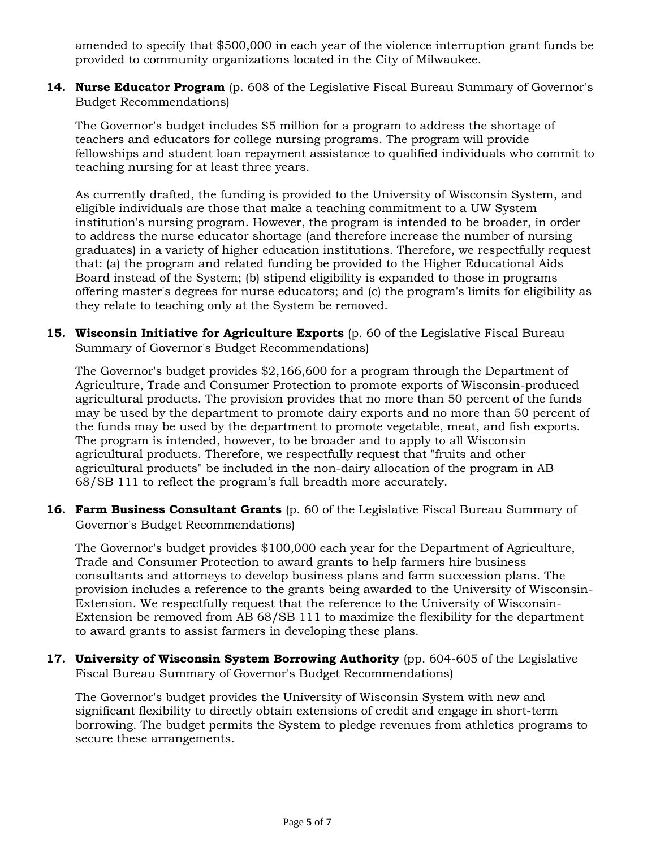amended to specify that \$500,000 in each year of the violence interruption grant funds be provided to community organizations located in the City of Milwaukee.

**14. Nurse Educator Program** (p. 608 of the Legislative Fiscal Bureau Summary of Governor's Budget Recommendations)

The Governor's budget includes \$5 million for a program to address the shortage of teachers and educators for college nursing programs. The program will provide fellowships and student loan repayment assistance to qualified individuals who commit to teaching nursing for at least three years.

As currently drafted, the funding is provided to the University of Wisconsin System, and eligible individuals are those that make a teaching commitment to a UW System institution's nursing program. However, the program is intended to be broader, in order to address the nurse educator shortage (and therefore increase the number of nursing graduates) in a variety of higher education institutions. Therefore, we respectfully request that: (a) the program and related funding be provided to the Higher Educational Aids Board instead of the System; (b) stipend eligibility is expanded to those in programs offering master's degrees for nurse educators; and (c) the program's limits for eligibility as they relate to teaching only at the System be removed.

15. Wisconsin Initiative for Agriculture Exports (p. 60 of the Legislative Fiscal Bureau Summary of Governor's Budget Recommendations)

The Governor's budget provides \$2,166,600 for a program through the Department of Agriculture, Trade and Consumer Protection to promote exports of Wisconsin-produced agricultural products. The provision provides that no more than 50 percent of the funds may be used by the department to promote dairy exports and no more than 50 percent of the funds may be used by the department to promote vegetable, meat, and fish exports. The program is intended, however, to be broader and to apply to all Wisconsin agricultural products. Therefore, we respectfully request that "fruits and other agricultural products" be included in the non-dairy allocation of the program in AB 68/SB 111 to reflect the program's full breadth more accurately.

**16. Farm Business Consultant Grants** (p. 60 of the Legislative Fiscal Bureau Summary of Governor's Budget Recommendations)

The Governor's budget provides \$100,000 each year for the Department of Agriculture, Trade and Consumer Protection to award grants to help farmers hire business consultants and attorneys to develop business plans and farm succession plans. The provision includes a reference to the grants being awarded to the University of Wisconsin-Extension. We respectfully request that the reference to the University of Wisconsin-Extension be removed from AB 68/SB 111 to maximize the flexibility for the department to award grants to assist farmers in developing these plans.

**17. University of Wisconsin System Borrowing Authority** (pp. 604-605 of the Legislative Fiscal Bureau Summary of Governor's Budget Recommendations)

The Governor's budget provides the University of Wisconsin System with new and significant flexibility to directly obtain extensions of credit and engage in short-term borrowing. The budget permits the System to pledge revenues from athletics programs to secure these arrangements.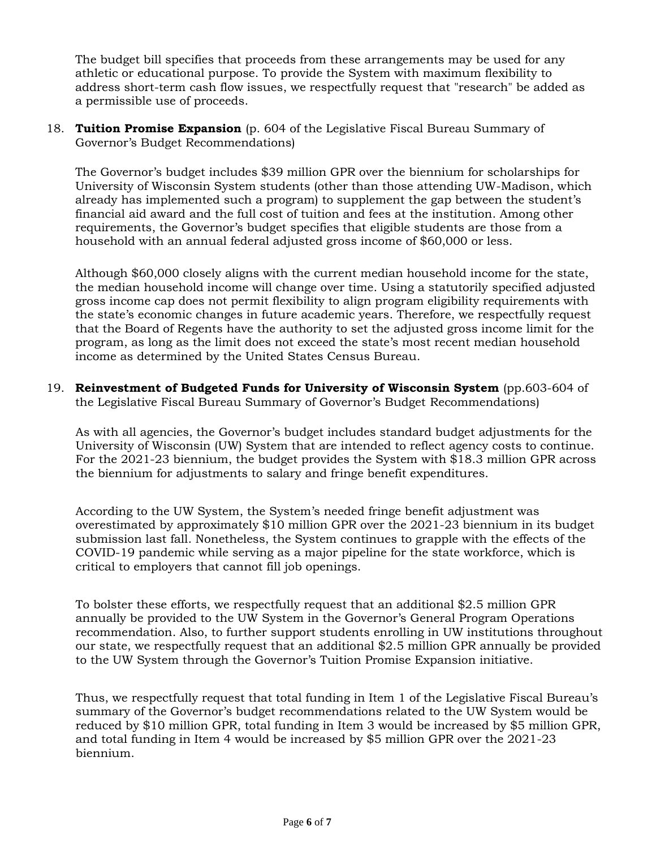The budget bill specifies that proceeds from these arrangements may be used for any athletic or educational purpose. To provide the System with maximum flexibility to address short-term cash flow issues, we respectfully request that "research" be added as a permissible use of proceeds.

18. **Tuition Promise Expansion** (p. 604 of the Legislative Fiscal Bureau Summary of Governor's Budget Recommendations)

The Governor's budget includes \$39 million GPR over the biennium for scholarships for University of Wisconsin System students (other than those attending UW-Madison, which already has implemented such a program) to supplement the gap between the student's financial aid award and the full cost of tuition and fees at the institution. Among other requirements, the Governor's budget specifies that eligible students are those from a household with an annual federal adjusted gross income of \$60,000 or less.

Although \$60,000 closely aligns with the current median household income for the state, the median household income will change over time. Using a statutorily specified adjusted gross income cap does not permit flexibility to align program eligibility requirements with the state's economic changes in future academic years. Therefore, we respectfully request that the Board of Regents have the authority to set the adjusted gross income limit for the program, as long as the limit does not exceed the state's most recent median household income as determined by the United States Census Bureau.

19. **Reinvestment of Budgeted Funds for University of Wisconsin System** (pp.603-604 of the Legislative Fiscal Bureau Summary of Governor's Budget Recommendations)

As with all agencies, the Governor's budget includes standard budget adjustments for the University of Wisconsin (UW) System that are intended to reflect agency costs to continue. For the 2021-23 biennium, the budget provides the System with \$18.3 million GPR across the biennium for adjustments to salary and fringe benefit expenditures.

According to the UW System, the System's needed fringe benefit adjustment was overestimated by approximately \$10 million GPR over the 2021-23 biennium in its budget submission last fall. Nonetheless, the System continues to grapple with the effects of the COVID-19 pandemic while serving as a major pipeline for the state workforce, which is critical to employers that cannot fill job openings.

To bolster these efforts, we respectfully request that an additional \$2.5 million GPR annually be provided to the UW System in the Governor's General Program Operations recommendation. Also, to further support students enrolling in UW institutions throughout our state, we respectfully request that an additional \$2.5 million GPR annually be provided to the UW System through the Governor's Tuition Promise Expansion initiative.

Thus, we respectfully request that total funding in Item 1 of the Legislative Fiscal Bureau's summary of the Governor's budget recommendations related to the UW System would be reduced by \$10 million GPR, total funding in Item 3 would be increased by \$5 million GPR, and total funding in Item 4 would be increased by \$5 million GPR over the 2021-23 biennium.